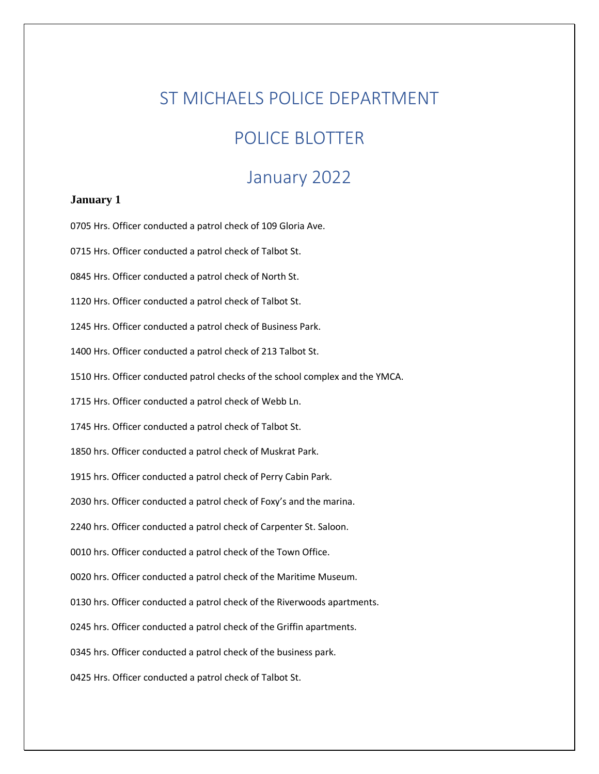# ST MICHAELS POLICE DEPARTMENT

# POLICE BLOTTER

# January 2022

# **January 1**

0705 Hrs. Officer conducted a patrol check of 109 Gloria Ave. 0715 Hrs. Officer conducted a patrol check of Talbot St. 0845 Hrs. Officer conducted a patrol check of North St. 1120 Hrs. Officer conducted a patrol check of Talbot St. 1245 Hrs. Officer conducted a patrol check of Business Park. 1400 Hrs. Officer conducted a patrol check of 213 Talbot St. 1510 Hrs. Officer conducted patrol checks of the school complex and the YMCA. 1715 Hrs. Officer conducted a patrol check of Webb Ln. 1745 Hrs. Officer conducted a patrol check of Talbot St. 1850 hrs. Officer conducted a patrol check of Muskrat Park. 1915 hrs. Officer conducted a patrol check of Perry Cabin Park. 2030 hrs. Officer conducted a patrol check of Foxy's and the marina. 2240 hrs. Officer conducted a patrol check of Carpenter St. Saloon. 0010 hrs. Officer conducted a patrol check of the Town Office. 0020 hrs. Officer conducted a patrol check of the Maritime Museum. 0130 hrs. Officer conducted a patrol check of the Riverwoods apartments. 0245 hrs. Officer conducted a patrol check of the Griffin apartments. 0345 hrs. Officer conducted a patrol check of the business park. 0425 Hrs. Officer conducted a patrol check of Talbot St.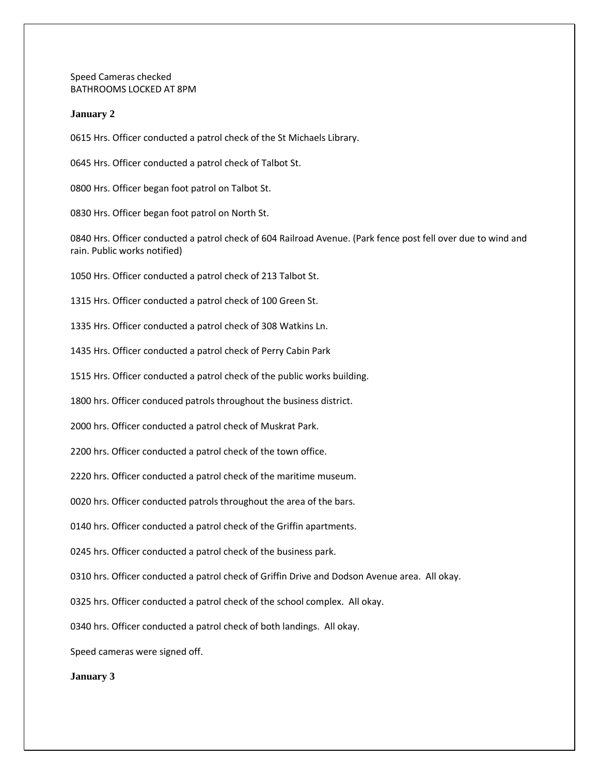Speed Cameras checked BATHROOMS LOCKED AT 8PM

# **January 2**

0615 Hrs. Officer conducted a patrol check of the St Michaels Library.

0645 Hrs. Officer conducted a patrol check of Talbot St.

0800 Hrs. Officer began foot patrol on Talbot St.

0830 Hrs. Officer began foot patrol on North St.

0840 Hrs. Officer conducted a patrol check of 604 Railroad Avenue. (Park fence post fell over due to wind and rain. Public works notified)

1050 Hrs. Officer conducted a patrol check of 213 Talbot St.

1315 Hrs. Officer conducted a patrol check of 100 Green St.

1335 Hrs. Officer conducted a patrol check of 308 Watkins Ln.

1435 Hrs. Officer conducted a patrol check of Perry Cabin Park

1515 Hrs. Officer conducted a patrol check of the public works building.

1800 hrs. Officer conduced patrols throughout the business district.

2000 hrs. Officer conducted a patrol check of Muskrat Park.

2200 hrs. Officer conducted a patrol check of the town office.

2220 hrs. Officer conducted a patrol check of the maritime museum.

0020 hrs. Officer conducted patrols throughout the area of the bars.

0140 hrs. Officer conducted a patrol check of the Griffin apartments.

0245 hrs. Officer conducted a patrol check of the business park.

0310 hrs. Officer conducted a patrol check of Griffin Drive and Dodson Avenue area. All okay.

0325 hrs. Officer conducted a patrol check of the school complex. All okay.

0340 hrs. Officer conducted a patrol check of both landings. All okay.

Speed cameras were signed off.

**January 3**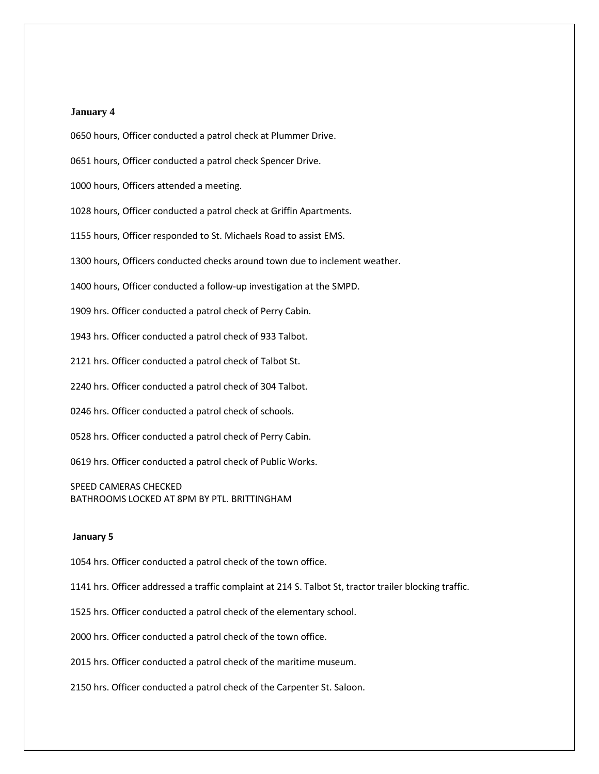# **January 4**

0650 hours, Officer conducted a patrol check at Plummer Drive.

0651 hours, Officer conducted a patrol check Spencer Drive.

1000 hours, Officers attended a meeting.

1028 hours, Officer conducted a patrol check at Griffin Apartments.

1155 hours, Officer responded to St. Michaels Road to assist EMS.

1300 hours, Officers conducted checks around town due to inclement weather.

1400 hours, Officer conducted a follow-up investigation at the SMPD.

1909 hrs. Officer conducted a patrol check of Perry Cabin.

1943 hrs. Officer conducted a patrol check of 933 Talbot.

2121 hrs. Officer conducted a patrol check of Talbot St.

2240 hrs. Officer conducted a patrol check of 304 Talbot.

0246 hrs. Officer conducted a patrol check of schools.

0528 hrs. Officer conducted a patrol check of Perry Cabin.

0619 hrs. Officer conducted a patrol check of Public Works.

SPEED CAMERAS CHECKED BATHROOMS LOCKED AT 8PM BY PTL. BRITTINGHAM

# **January 5**

1054 hrs. Officer conducted a patrol check of the town office.

1141 hrs. Officer addressed a traffic complaint at 214 S. Talbot St, tractor trailer blocking traffic.

1525 hrs. Officer conducted a patrol check of the elementary school.

2000 hrs. Officer conducted a patrol check of the town office.

2015 hrs. Officer conducted a patrol check of the maritime museum.

2150 hrs. Officer conducted a patrol check of the Carpenter St. Saloon.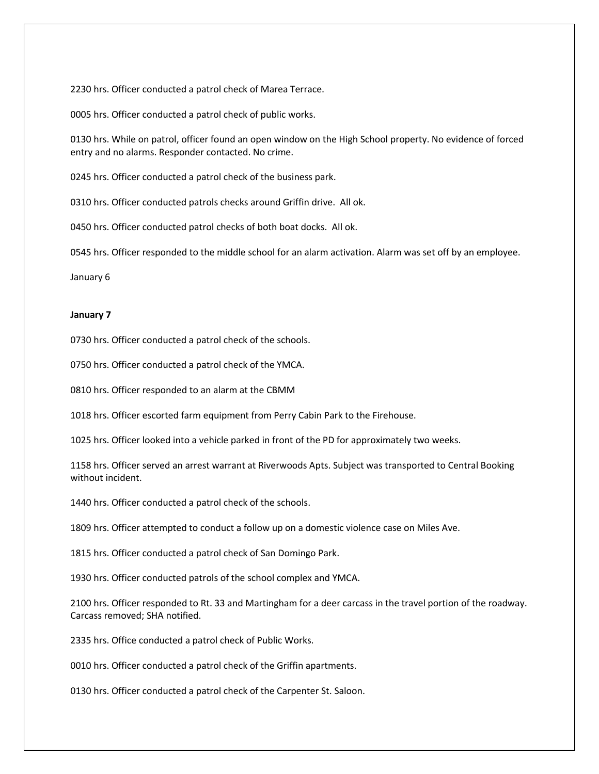2230 hrs. Officer conducted a patrol check of Marea Terrace.

0005 hrs. Officer conducted a patrol check of public works.

0130 hrs. While on patrol, officer found an open window on the High School property. No evidence of forced entry and no alarms. Responder contacted. No crime.

0245 hrs. Officer conducted a patrol check of the business park.

0310 hrs. Officer conducted patrols checks around Griffin drive. All ok.

0450 hrs. Officer conducted patrol checks of both boat docks. All ok.

0545 hrs. Officer responded to the middle school for an alarm activation. Alarm was set off by an employee.

January 6

# **January 7**

0730 hrs. Officer conducted a patrol check of the schools.

0750 hrs. Officer conducted a patrol check of the YMCA.

0810 hrs. Officer responded to an alarm at the CBMM

1018 hrs. Officer escorted farm equipment from Perry Cabin Park to the Firehouse.

1025 hrs. Officer looked into a vehicle parked in front of the PD for approximately two weeks.

1158 hrs. Officer served an arrest warrant at Riverwoods Apts. Subject was transported to Central Booking without incident.

1440 hrs. Officer conducted a patrol check of the schools.

1809 hrs. Officer attempted to conduct a follow up on a domestic violence case on Miles Ave.

1815 hrs. Officer conducted a patrol check of San Domingo Park.

1930 hrs. Officer conducted patrols of the school complex and YMCA.

2100 hrs. Officer responded to Rt. 33 and Martingham for a deer carcass in the travel portion of the roadway. Carcass removed; SHA notified.

2335 hrs. Office conducted a patrol check of Public Works.

0010 hrs. Officer conducted a patrol check of the Griffin apartments.

0130 hrs. Officer conducted a patrol check of the Carpenter St. Saloon.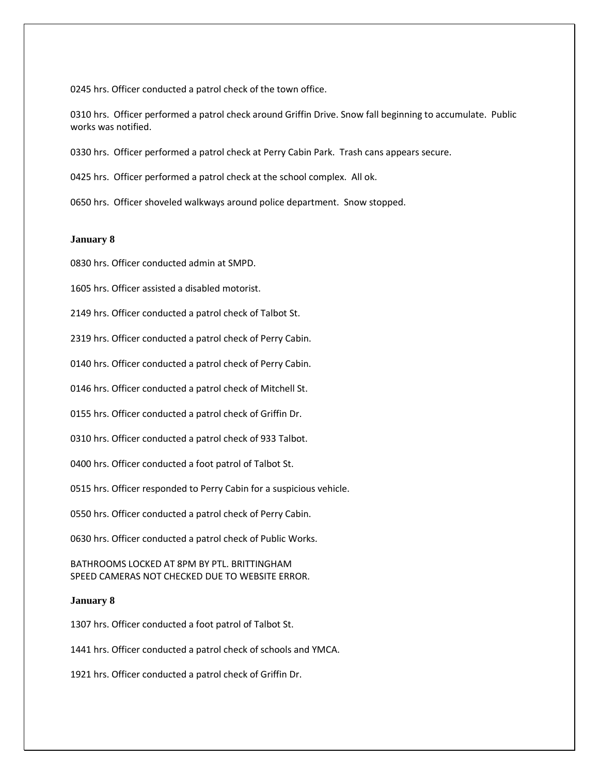0245 hrs. Officer conducted a patrol check of the town office.

0310 hrs. Officer performed a patrol check around Griffin Drive. Snow fall beginning to accumulate. Public works was notified.

0330 hrs. Officer performed a patrol check at Perry Cabin Park. Trash cans appears secure.

0425 hrs. Officer performed a patrol check at the school complex. All ok.

0650 hrs. Officer shoveled walkways around police department. Snow stopped.

#### **January 8**

0830 hrs. Officer conducted admin at SMPD.

1605 hrs. Officer assisted a disabled motorist.

2149 hrs. Officer conducted a patrol check of Talbot St.

2319 hrs. Officer conducted a patrol check of Perry Cabin.

0140 hrs. Officer conducted a patrol check of Perry Cabin.

0146 hrs. Officer conducted a patrol check of Mitchell St.

0155 hrs. Officer conducted a patrol check of Griffin Dr.

0310 hrs. Officer conducted a patrol check of 933 Talbot.

0400 hrs. Officer conducted a foot patrol of Talbot St.

0515 hrs. Officer responded to Perry Cabin for a suspicious vehicle.

0550 hrs. Officer conducted a patrol check of Perry Cabin.

0630 hrs. Officer conducted a patrol check of Public Works.

BATHROOMS LOCKED AT 8PM BY PTL. BRITTINGHAM SPEED CAMERAS NOT CHECKED DUE TO WEBSITE ERROR.

### **January 8**

1307 hrs. Officer conducted a foot patrol of Talbot St.

1441 hrs. Officer conducted a patrol check of schools and YMCA.

1921 hrs. Officer conducted a patrol check of Griffin Dr.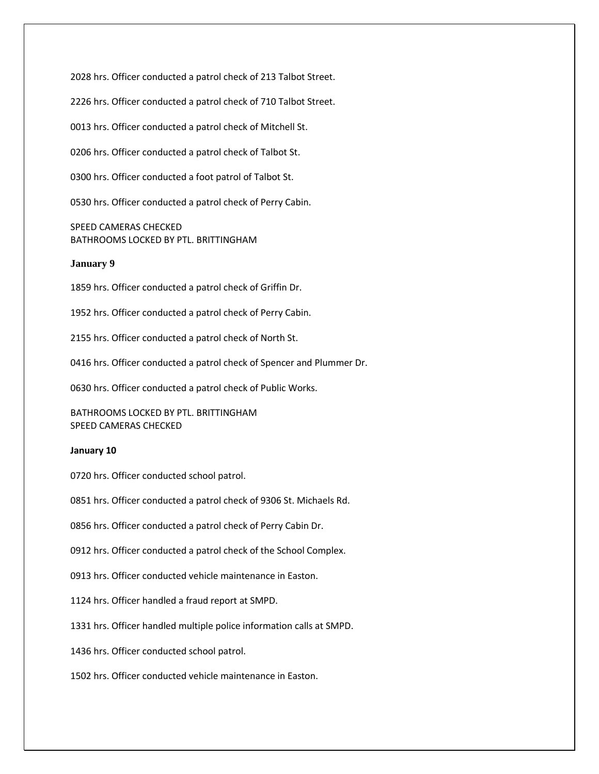2028 hrs. Officer conducted a patrol check of 213 Talbot Street.

2226 hrs. Officer conducted a patrol check of 710 Talbot Street.

0013 hrs. Officer conducted a patrol check of Mitchell St.

0206 hrs. Officer conducted a patrol check of Talbot St.

0300 hrs. Officer conducted a foot patrol of Talbot St.

0530 hrs. Officer conducted a patrol check of Perry Cabin.

SPEED CAMERAS CHECKED BATHROOMS LOCKED BY PTL. BRITTINGHAM

# **January 9**

1859 hrs. Officer conducted a patrol check of Griffin Dr.

1952 hrs. Officer conducted a patrol check of Perry Cabin.

2155 hrs. Officer conducted a patrol check of North St.

0416 hrs. Officer conducted a patrol check of Spencer and Plummer Dr.

0630 hrs. Officer conducted a patrol check of Public Works.

BATHROOMS LOCKED BY PTL. BRITTINGHAM SPEED CAMERAS CHECKED

#### **January 10**

0720 hrs. Officer conducted school patrol.

0851 hrs. Officer conducted a patrol check of 9306 St. Michaels Rd.

0856 hrs. Officer conducted a patrol check of Perry Cabin Dr.

0912 hrs. Officer conducted a patrol check of the School Complex.

0913 hrs. Officer conducted vehicle maintenance in Easton.

1124 hrs. Officer handled a fraud report at SMPD.

1331 hrs. Officer handled multiple police information calls at SMPD.

1436 hrs. Officer conducted school patrol.

1502 hrs. Officer conducted vehicle maintenance in Easton.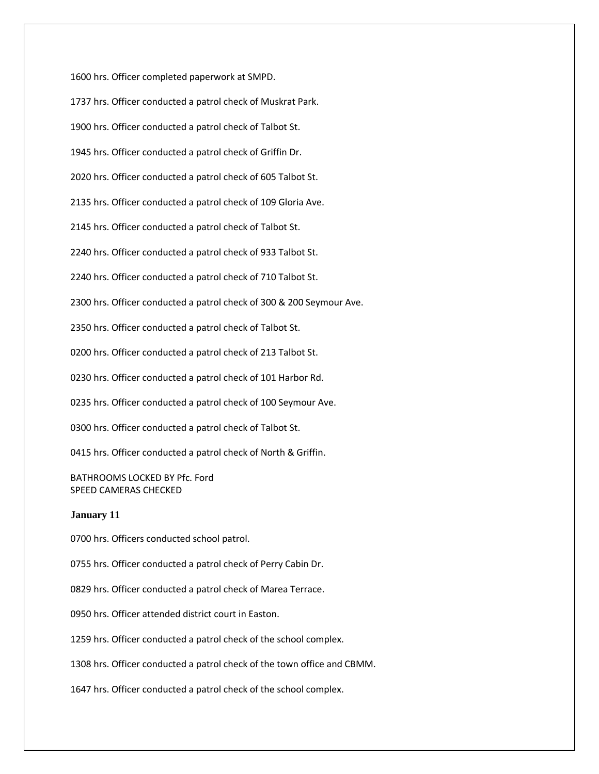1600 hrs. Officer completed paperwork at SMPD. 1737 hrs. Officer conducted a patrol check of Muskrat Park. 1900 hrs. Officer conducted a patrol check of Talbot St. 1945 hrs. Officer conducted a patrol check of Griffin Dr. 2020 hrs. Officer conducted a patrol check of 605 Talbot St. 2135 hrs. Officer conducted a patrol check of 109 Gloria Ave. 2145 hrs. Officer conducted a patrol check of Talbot St. 2240 hrs. Officer conducted a patrol check of 933 Talbot St. 2240 hrs. Officer conducted a patrol check of 710 Talbot St. 2300 hrs. Officer conducted a patrol check of 300 & 200 Seymour Ave. 2350 hrs. Officer conducted a patrol check of Talbot St. 0200 hrs. Officer conducted a patrol check of 213 Talbot St. 0230 hrs. Officer conducted a patrol check of 101 Harbor Rd. 0235 hrs. Officer conducted a patrol check of 100 Seymour Ave. 0300 hrs. Officer conducted a patrol check of Talbot St. 0415 hrs. Officer conducted a patrol check of North & Griffin. BATHROOMS LOCKED BY Pfc. Ford SPEED CAMERAS CHECKED **January 11** 0700 hrs. Officers conducted school patrol.

0755 hrs. Officer conducted a patrol check of Perry Cabin Dr.

0829 hrs. Officer conducted a patrol check of Marea Terrace.

0950 hrs. Officer attended district court in Easton.

1259 hrs. Officer conducted a patrol check of the school complex.

1308 hrs. Officer conducted a patrol check of the town office and CBMM.

1647 hrs. Officer conducted a patrol check of the school complex.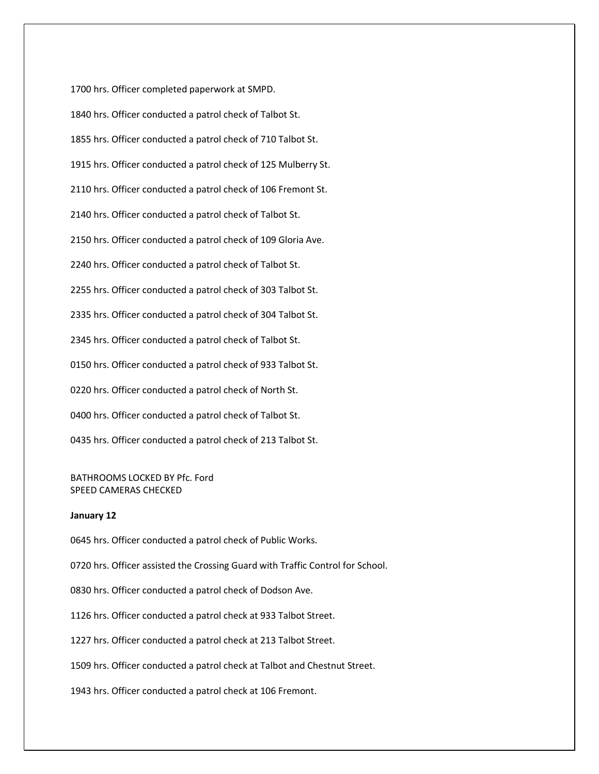1700 hrs. Officer completed paperwork at SMPD. 1840 hrs. Officer conducted a patrol check of Talbot St. 1855 hrs. Officer conducted a patrol check of 710 Talbot St. 1915 hrs. Officer conducted a patrol check of 125 Mulberry St. 2110 hrs. Officer conducted a patrol check of 106 Fremont St. 2140 hrs. Officer conducted a patrol check of Talbot St. 2150 hrs. Officer conducted a patrol check of 109 Gloria Ave. 2240 hrs. Officer conducted a patrol check of Talbot St. 2255 hrs. Officer conducted a patrol check of 303 Talbot St. 2335 hrs. Officer conducted a patrol check of 304 Talbot St. 2345 hrs. Officer conducted a patrol check of Talbot St. 0150 hrs. Officer conducted a patrol check of 933 Talbot St. 0220 hrs. Officer conducted a patrol check of North St. 0400 hrs. Officer conducted a patrol check of Talbot St. 0435 hrs. Officer conducted a patrol check of 213 Talbot St.

# BATHROOMS LOCKED BY Pfc. Ford SPEED CAMERAS CHECKED

### **January 12**

0645 hrs. Officer conducted a patrol check of Public Works.

0720 hrs. Officer assisted the Crossing Guard with Traffic Control for School.

0830 hrs. Officer conducted a patrol check of Dodson Ave.

1126 hrs. Officer conducted a patrol check at 933 Talbot Street.

1227 hrs. Officer conducted a patrol check at 213 Talbot Street.

1509 hrs. Officer conducted a patrol check at Talbot and Chestnut Street.

1943 hrs. Officer conducted a patrol check at 106 Fremont.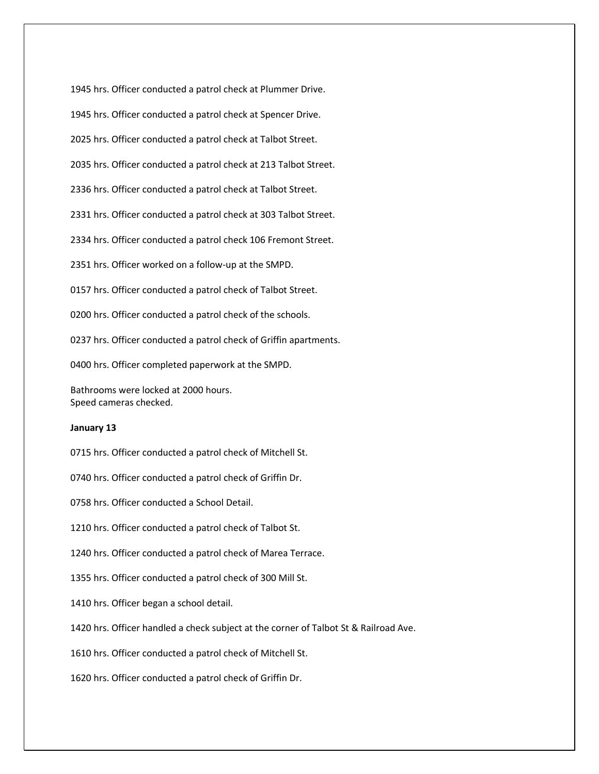1945 hrs. Officer conducted a patrol check at Plummer Drive. 1945 hrs. Officer conducted a patrol check at Spencer Drive. 2025 hrs. Officer conducted a patrol check at Talbot Street. 2035 hrs. Officer conducted a patrol check at 213 Talbot Street. 2336 hrs. Officer conducted a patrol check at Talbot Street. 2331 hrs. Officer conducted a patrol check at 303 Talbot Street. 2334 hrs. Officer conducted a patrol check 106 Fremont Street. 2351 hrs. Officer worked on a follow-up at the SMPD. 0157 hrs. Officer conducted a patrol check of Talbot Street. 0200 hrs. Officer conducted a patrol check of the schools. 0237 hrs. Officer conducted a patrol check of Griffin apartments. 0400 hrs. Officer completed paperwork at the SMPD. Bathrooms were locked at 2000 hours. Speed cameras checked.

#### **January 13**

0715 hrs. Officer conducted a patrol check of Mitchell St.

0740 hrs. Officer conducted a patrol check of Griffin Dr.

0758 hrs. Officer conducted a School Detail.

1210 hrs. Officer conducted a patrol check of Talbot St.

1240 hrs. Officer conducted a patrol check of Marea Terrace.

1355 hrs. Officer conducted a patrol check of 300 Mill St.

1410 hrs. Officer began a school detail.

1420 hrs. Officer handled a check subject at the corner of Talbot St & Railroad Ave.

1610 hrs. Officer conducted a patrol check of Mitchell St.

1620 hrs. Officer conducted a patrol check of Griffin Dr.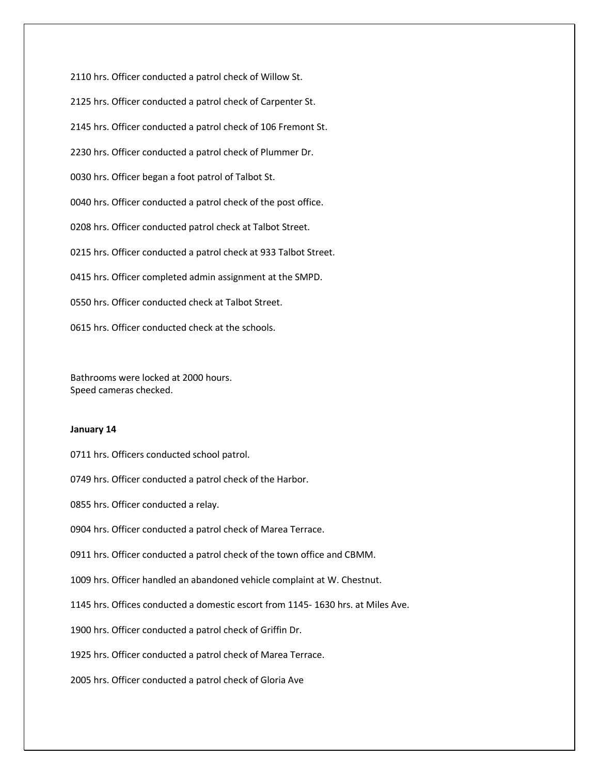2110 hrs. Officer conducted a patrol check of Willow St. 2125 hrs. Officer conducted a patrol check of Carpenter St. 2145 hrs. Officer conducted a patrol check of 106 Fremont St. 2230 hrs. Officer conducted a patrol check of Plummer Dr. 0030 hrs. Officer began a foot patrol of Talbot St. 0040 hrs. Officer conducted a patrol check of the post office. 0208 hrs. Officer conducted patrol check at Talbot Street. 0215 hrs. Officer conducted a patrol check at 933 Talbot Street. 0415 hrs. Officer completed admin assignment at the SMPD. 0550 hrs. Officer conducted check at Talbot Street. 0615 hrs. Officer conducted check at the schools.

Bathrooms were locked at 2000 hours. Speed cameras checked.

# **January 14**

0711 hrs. Officers conducted school patrol.

0749 hrs. Officer conducted a patrol check of the Harbor.

0855 hrs. Officer conducted a relay.

0904 hrs. Officer conducted a patrol check of Marea Terrace.

0911 hrs. Officer conducted a patrol check of the town office and CBMM.

1009 hrs. Officer handled an abandoned vehicle complaint at W. Chestnut.

1145 hrs. Offices conducted a domestic escort from 1145- 1630 hrs. at Miles Ave.

1900 hrs. Officer conducted a patrol check of Griffin Dr.

1925 hrs. Officer conducted a patrol check of Marea Terrace.

2005 hrs. Officer conducted a patrol check of Gloria Ave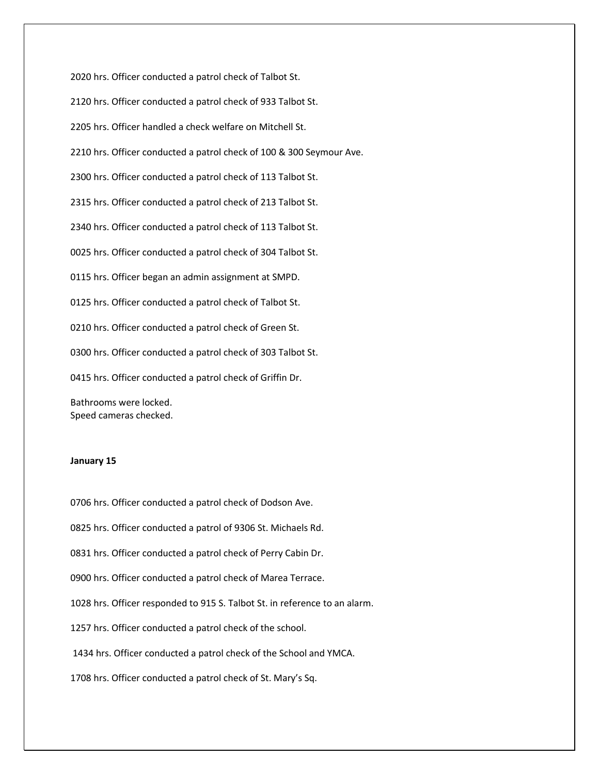2020 hrs. Officer conducted a patrol check of Talbot St.

2120 hrs. Officer conducted a patrol check of 933 Talbot St.

2205 hrs. Officer handled a check welfare on Mitchell St.

2210 hrs. Officer conducted a patrol check of 100 & 300 Seymour Ave.

2300 hrs. Officer conducted a patrol check of 113 Talbot St.

2315 hrs. Officer conducted a patrol check of 213 Talbot St.

2340 hrs. Officer conducted a patrol check of 113 Talbot St.

0025 hrs. Officer conducted a patrol check of 304 Talbot St.

0115 hrs. Officer began an admin assignment at SMPD.

0125 hrs. Officer conducted a patrol check of Talbot St.

0210 hrs. Officer conducted a patrol check of Green St.

0300 hrs. Officer conducted a patrol check of 303 Talbot St.

0415 hrs. Officer conducted a patrol check of Griffin Dr.

Bathrooms were locked. Speed cameras checked.

# **January 15**

0706 hrs. Officer conducted a patrol check of Dodson Ave.

0825 hrs. Officer conducted a patrol of 9306 St. Michaels Rd.

0831 hrs. Officer conducted a patrol check of Perry Cabin Dr.

0900 hrs. Officer conducted a patrol check of Marea Terrace.

1028 hrs. Officer responded to 915 S. Talbot St. in reference to an alarm.

1257 hrs. Officer conducted a patrol check of the school.

1434 hrs. Officer conducted a patrol check of the School and YMCA.

1708 hrs. Officer conducted a patrol check of St. Mary's Sq.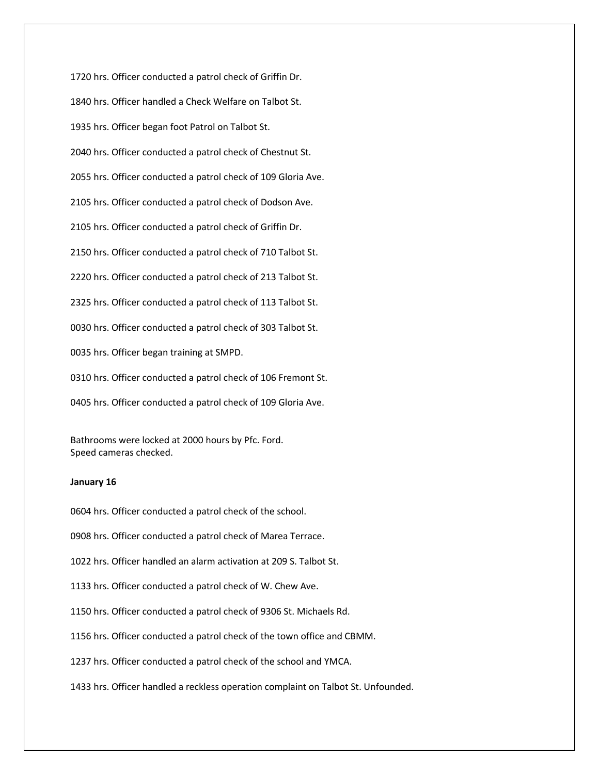1720 hrs. Officer conducted a patrol check of Griffin Dr. 1840 hrs. Officer handled a Check Welfare on Talbot St. 1935 hrs. Officer began foot Patrol on Talbot St. 2040 hrs. Officer conducted a patrol check of Chestnut St. 2055 hrs. Officer conducted a patrol check of 109 Gloria Ave. 2105 hrs. Officer conducted a patrol check of Dodson Ave. 2105 hrs. Officer conducted a patrol check of Griffin Dr. 2150 hrs. Officer conducted a patrol check of 710 Talbot St. 2220 hrs. Officer conducted a patrol check of 213 Talbot St. 2325 hrs. Officer conducted a patrol check of 113 Talbot St. 0030 hrs. Officer conducted a patrol check of 303 Talbot St. 0035 hrs. Officer began training at SMPD. 0310 hrs. Officer conducted a patrol check of 106 Fremont St. 0405 hrs. Officer conducted a patrol check of 109 Gloria Ave.

Bathrooms were locked at 2000 hours by Pfc. Ford. Speed cameras checked.

# **January 16**

0604 hrs. Officer conducted a patrol check of the school.

0908 hrs. Officer conducted a patrol check of Marea Terrace.

1022 hrs. Officer handled an alarm activation at 209 S. Talbot St.

1133 hrs. Officer conducted a patrol check of W. Chew Ave.

1150 hrs. Officer conducted a patrol check of 9306 St. Michaels Rd.

1156 hrs. Officer conducted a patrol check of the town office and CBMM.

1237 hrs. Officer conducted a patrol check of the school and YMCA.

1433 hrs. Officer handled a reckless operation complaint on Talbot St. Unfounded.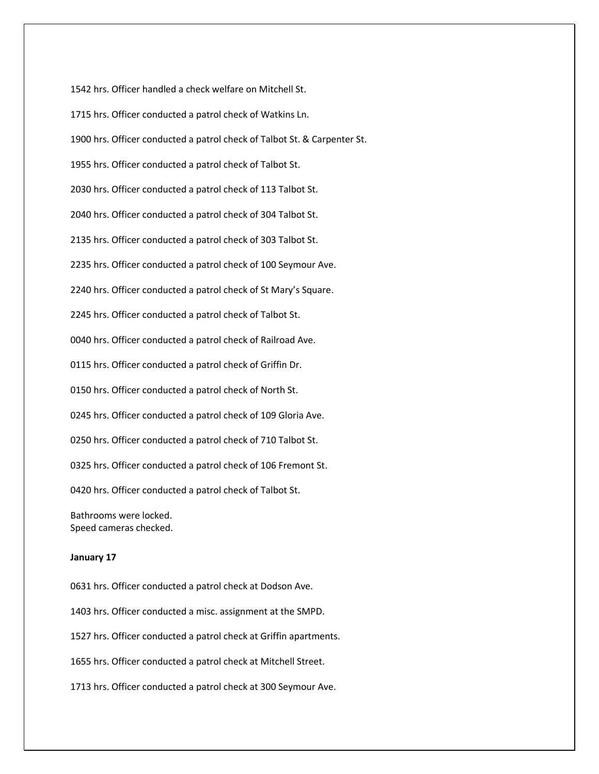1542 hrs. Officer handled a check welfare on Mitchell St. 1715 hrs. Officer conducted a patrol check of Watkins Ln. 1900 hrs. Officer conducted a patrol check of Talbot St. & Carpenter St. 1955 hrs. Officer conducted a patrol check of Talbot St. 2030 hrs. Officer conducted a patrol check of 113 Talbot St. 2040 hrs. Officer conducted a patrol check of 304 Talbot St. 2135 hrs. Officer conducted a patrol check of 303 Talbot St. 2235 hrs. Officer conducted a patrol check of 100 Seymour Ave. 2240 hrs. Officer conducted a patrol check of St Mary's Square. 2245 hrs. Officer conducted a patrol check of Talbot St. 0040 hrs. Officer conducted a patrol check of Railroad Ave. 0115 hrs. Officer conducted a patrol check of Griffin Dr. 0150 hrs. Officer conducted a patrol check of North St. 0245 hrs. Officer conducted a patrol check of 109 Gloria Ave. 0250 hrs. Officer conducted a patrol check of 710 Talbot St. 0325 hrs. Officer conducted a patrol check of 106 Fremont St. 0420 hrs. Officer conducted a patrol check of Talbot St. Bathrooms were locked.

Speed cameras checked.

# **January 17**

0631 hrs. Officer conducted a patrol check at Dodson Ave.

1403 hrs. Officer conducted a misc. assignment at the SMPD.

1527 hrs. Officer conducted a patrol check at Griffin apartments.

1655 hrs. Officer conducted a patrol check at Mitchell Street.

1713 hrs. Officer conducted a patrol check at 300 Seymour Ave.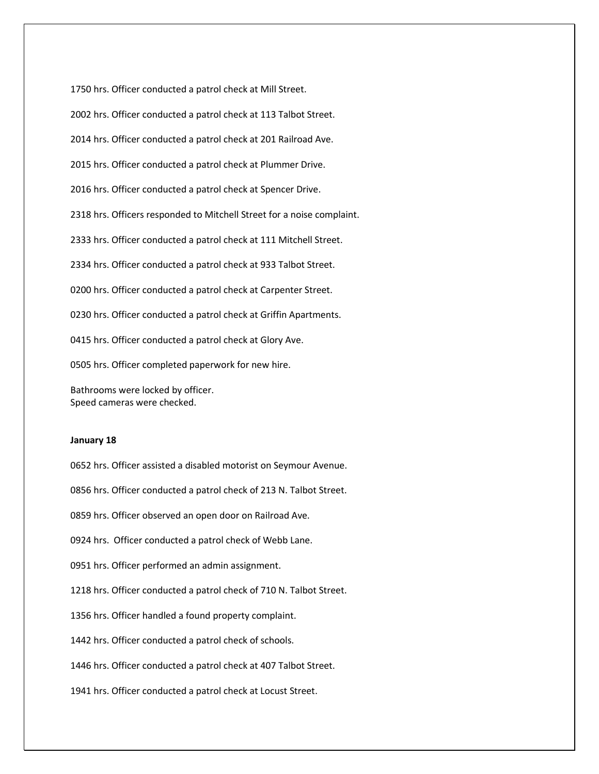1750 hrs. Officer conducted a patrol check at Mill Street. 2002 hrs. Officer conducted a patrol check at 113 Talbot Street. 2014 hrs. Officer conducted a patrol check at 201 Railroad Ave. 2015 hrs. Officer conducted a patrol check at Plummer Drive. 2016 hrs. Officer conducted a patrol check at Spencer Drive. 2318 hrs. Officers responded to Mitchell Street for a noise complaint. 2333 hrs. Officer conducted a patrol check at 111 Mitchell Street. 2334 hrs. Officer conducted a patrol check at 933 Talbot Street. 0200 hrs. Officer conducted a patrol check at Carpenter Street. 0230 hrs. Officer conducted a patrol check at Griffin Apartments. 0415 hrs. Officer conducted a patrol check at Glory Ave. 0505 hrs. Officer completed paperwork for new hire. Bathrooms were locked by officer.

Speed cameras were checked.

# **January 18**

0652 hrs. Officer assisted a disabled motorist on Seymour Avenue.

0856 hrs. Officer conducted a patrol check of 213 N. Talbot Street.

0859 hrs. Officer observed an open door on Railroad Ave.

0924 hrs. Officer conducted a patrol check of Webb Lane.

0951 hrs. Officer performed an admin assignment.

1218 hrs. Officer conducted a patrol check of 710 N. Talbot Street.

1356 hrs. Officer handled a found property complaint.

1442 hrs. Officer conducted a patrol check of schools.

1446 hrs. Officer conducted a patrol check at 407 Talbot Street.

1941 hrs. Officer conducted a patrol check at Locust Street.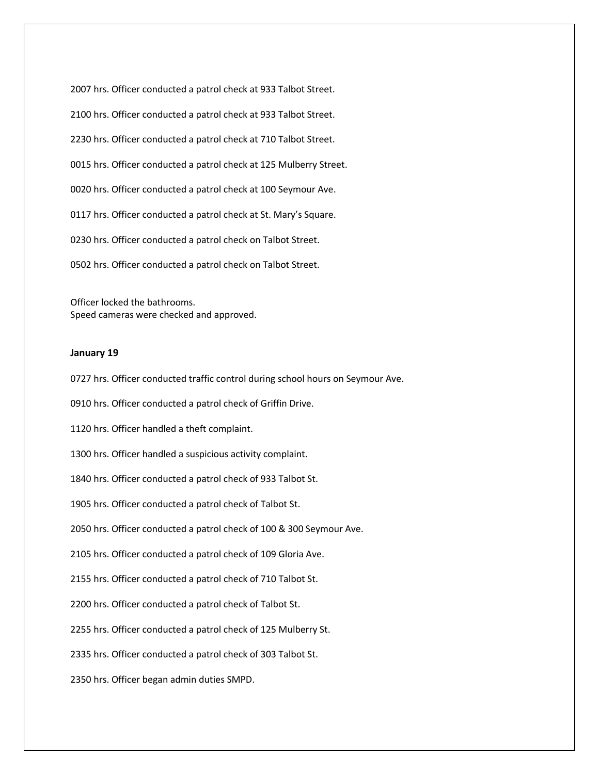2007 hrs. Officer conducted a patrol check at 933 Talbot Street. 2100 hrs. Officer conducted a patrol check at 933 Talbot Street. 2230 hrs. Officer conducted a patrol check at 710 Talbot Street. 0015 hrs. Officer conducted a patrol check at 125 Mulberry Street. 0020 hrs. Officer conducted a patrol check at 100 Seymour Ave. 0117 hrs. Officer conducted a patrol check at St. Mary's Square. 0230 hrs. Officer conducted a patrol check on Talbot Street. 0502 hrs. Officer conducted a patrol check on Talbot Street.

Officer locked the bathrooms. Speed cameras were checked and approved.

# **January 19**

0727 hrs. Officer conducted traffic control during school hours on Seymour Ave.

0910 hrs. Officer conducted a patrol check of Griffin Drive.

1120 hrs. Officer handled a theft complaint.

1300 hrs. Officer handled a suspicious activity complaint.

1840 hrs. Officer conducted a patrol check of 933 Talbot St.

1905 hrs. Officer conducted a patrol check of Talbot St.

2050 hrs. Officer conducted a patrol check of 100 & 300 Seymour Ave.

2105 hrs. Officer conducted a patrol check of 109 Gloria Ave.

2155 hrs. Officer conducted a patrol check of 710 Talbot St.

2200 hrs. Officer conducted a patrol check of Talbot St.

2255 hrs. Officer conducted a patrol check of 125 Mulberry St.

2335 hrs. Officer conducted a patrol check of 303 Talbot St.

2350 hrs. Officer began admin duties SMPD.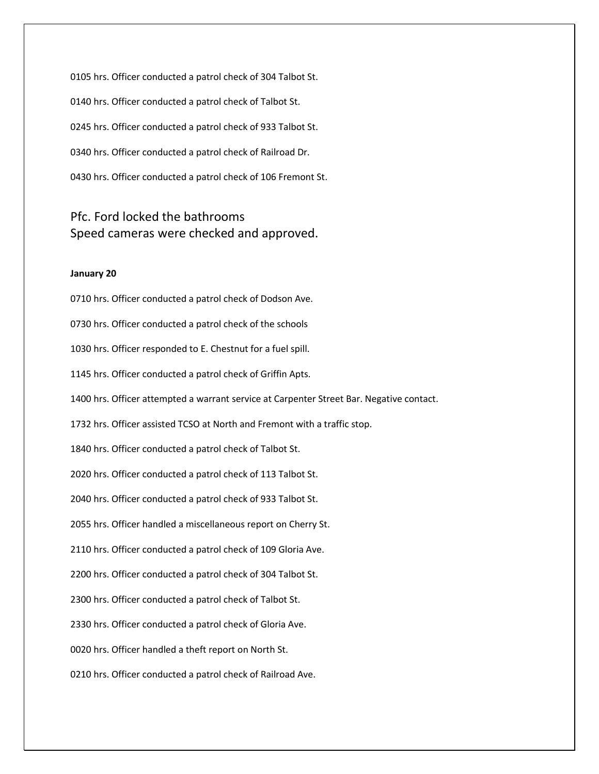0105 hrs. Officer conducted a patrol check of 304 Talbot St. 0140 hrs. Officer conducted a patrol check of Talbot St. 0245 hrs. Officer conducted a patrol check of 933 Talbot St. 0340 hrs. Officer conducted a patrol check of Railroad Dr. 0430 hrs. Officer conducted a patrol check of 106 Fremont St.

# Pfc. Ford locked the bathrooms Speed cameras were checked and approved.

# **January 20**

0710 hrs. Officer conducted a patrol check of Dodson Ave. 0730 hrs. Officer conducted a patrol check of the schools 1030 hrs. Officer responded to E. Chestnut for a fuel spill. 1145 hrs. Officer conducted a patrol check of Griffin Apts. 1400 hrs. Officer attempted a warrant service at Carpenter Street Bar. Negative contact. 1732 hrs. Officer assisted TCSO at North and Fremont with a traffic stop. 1840 hrs. Officer conducted a patrol check of Talbot St. 2020 hrs. Officer conducted a patrol check of 113 Talbot St. 2040 hrs. Officer conducted a patrol check of 933 Talbot St. 2055 hrs. Officer handled a miscellaneous report on Cherry St. 2110 hrs. Officer conducted a patrol check of 109 Gloria Ave. 2200 hrs. Officer conducted a patrol check of 304 Talbot St. 2300 hrs. Officer conducted a patrol check of Talbot St. 2330 hrs. Officer conducted a patrol check of Gloria Ave. 0020 hrs. Officer handled a theft report on North St. 0210 hrs. Officer conducted a patrol check of Railroad Ave.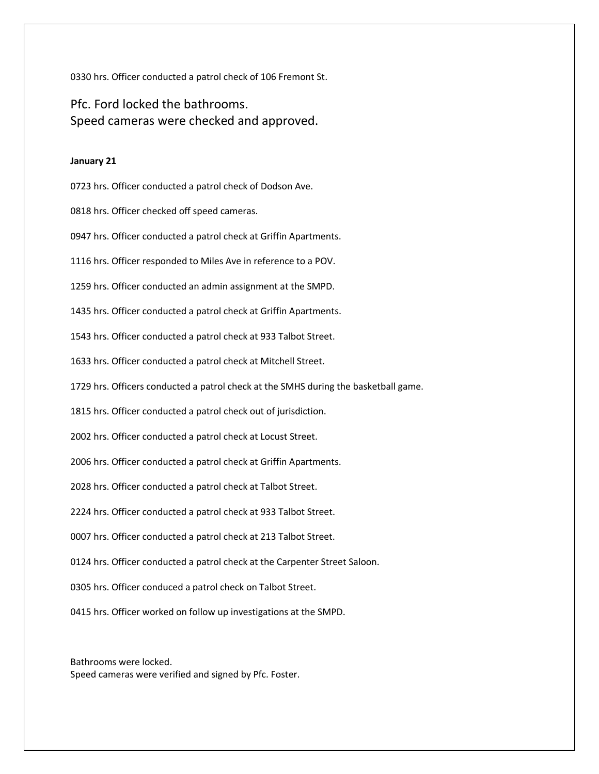0330 hrs. Officer conducted a patrol check of 106 Fremont St.

Pfc. Ford locked the bathrooms. Speed cameras were checked and approved.

# **January 21**

0723 hrs. Officer conducted a patrol check of Dodson Ave.

0818 hrs. Officer checked off speed cameras.

0947 hrs. Officer conducted a patrol check at Griffin Apartments.

1116 hrs. Officer responded to Miles Ave in reference to a POV.

1259 hrs. Officer conducted an admin assignment at the SMPD.

1435 hrs. Officer conducted a patrol check at Griffin Apartments.

1543 hrs. Officer conducted a patrol check at 933 Talbot Street.

1633 hrs. Officer conducted a patrol check at Mitchell Street.

1729 hrs. Officers conducted a patrol check at the SMHS during the basketball game.

1815 hrs. Officer conducted a patrol check out of jurisdiction.

2002 hrs. Officer conducted a patrol check at Locust Street.

2006 hrs. Officer conducted a patrol check at Griffin Apartments.

2028 hrs. Officer conducted a patrol check at Talbot Street.

2224 hrs. Officer conducted a patrol check at 933 Talbot Street.

0007 hrs. Officer conducted a patrol check at 213 Talbot Street.

0124 hrs. Officer conducted a patrol check at the Carpenter Street Saloon.

0305 hrs. Officer conduced a patrol check on Talbot Street.

0415 hrs. Officer worked on follow up investigations at the SMPD.

Bathrooms were locked. Speed cameras were verified and signed by Pfc. Foster.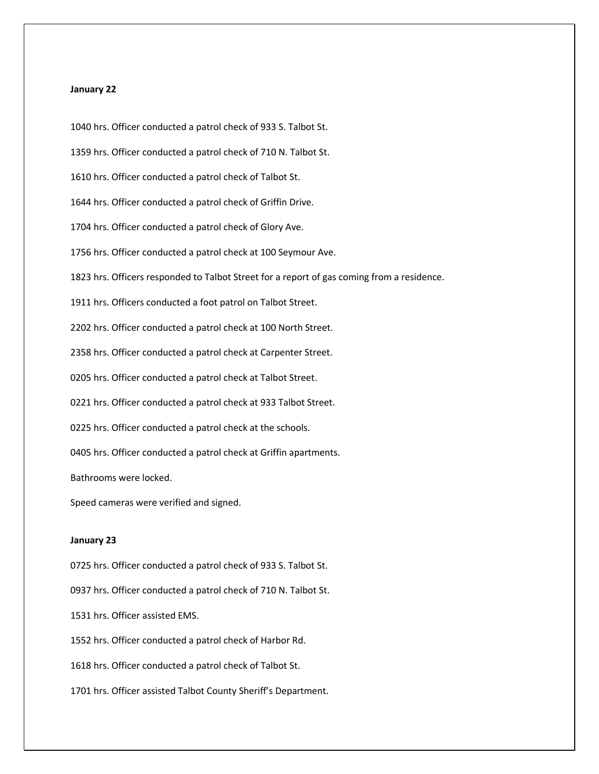#### **January 22**

1040 hrs. Officer conducted a patrol check of 933 S. Talbot St. 1359 hrs. Officer conducted a patrol check of 710 N. Talbot St. 1610 hrs. Officer conducted a patrol check of Talbot St. 1644 hrs. Officer conducted a patrol check of Griffin Drive. 1704 hrs. Officer conducted a patrol check of Glory Ave. 1756 hrs. Officer conducted a patrol check at 100 Seymour Ave. 1823 hrs. Officers responded to Talbot Street for a report of gas coming from a residence. 1911 hrs. Officers conducted a foot patrol on Talbot Street. 2202 hrs. Officer conducted a patrol check at 100 North Street. 2358 hrs. Officer conducted a patrol check at Carpenter Street. 0205 hrs. Officer conducted a patrol check at Talbot Street. 0221 hrs. Officer conducted a patrol check at 933 Talbot Street. 0225 hrs. Officer conducted a patrol check at the schools. 0405 hrs. Officer conducted a patrol check at Griffin apartments. Bathrooms were locked. Speed cameras were verified and signed. **January 23**

0725 hrs. Officer conducted a patrol check of 933 S. Talbot St.

0937 hrs. Officer conducted a patrol check of 710 N. Talbot St.

1531 hrs. Officer assisted EMS.

1552 hrs. Officer conducted a patrol check of Harbor Rd.

1618 hrs. Officer conducted a patrol check of Talbot St.

1701 hrs. Officer assisted Talbot County Sheriff's Department.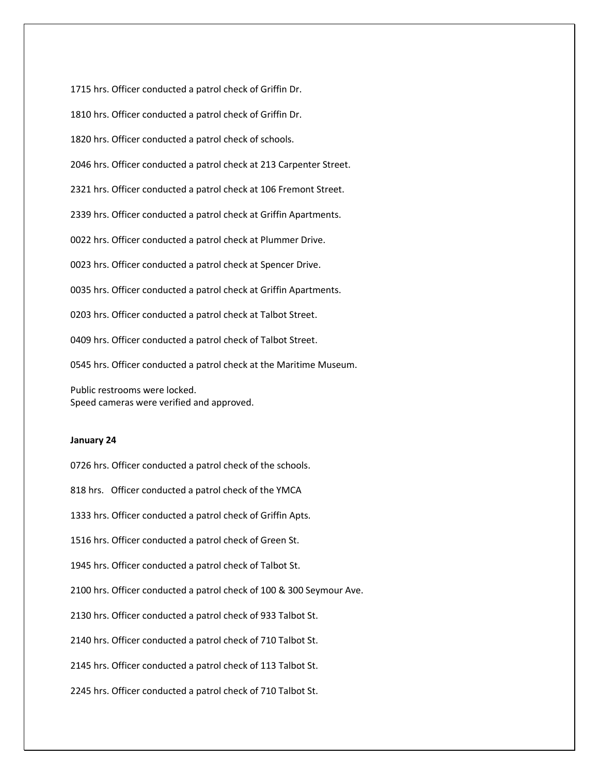1810 hrs. Officer conducted a patrol check of Griffin Dr. 1820 hrs. Officer conducted a patrol check of schools. 2046 hrs. Officer conducted a patrol check at 213 Carpenter Street. 2321 hrs. Officer conducted a patrol check at 106 Fremont Street. 2339 hrs. Officer conducted a patrol check at Griffin Apartments. 0022 hrs. Officer conducted a patrol check at Plummer Drive. 0023 hrs. Officer conducted a patrol check at Spencer Drive. 0035 hrs. Officer conducted a patrol check at Griffin Apartments. 0203 hrs. Officer conducted a patrol check at Talbot Street. 0409 hrs. Officer conducted a patrol check of Talbot Street.

1715 hrs. Officer conducted a patrol check of Griffin Dr.

0545 hrs. Officer conducted a patrol check at the Maritime Museum.

Public restrooms were locked. Speed cameras were verified and approved.

### **January 24**

0726 hrs. Officer conducted a patrol check of the schools.

818 hrs. Officer conducted a patrol check of the YMCA

1333 hrs. Officer conducted a patrol check of Griffin Apts.

1516 hrs. Officer conducted a patrol check of Green St.

1945 hrs. Officer conducted a patrol check of Talbot St.

2100 hrs. Officer conducted a patrol check of 100 & 300 Seymour Ave.

2130 hrs. Officer conducted a patrol check of 933 Talbot St.

2140 hrs. Officer conducted a patrol check of 710 Talbot St.

2145 hrs. Officer conducted a patrol check of 113 Talbot St.

2245 hrs. Officer conducted a patrol check of 710 Talbot St.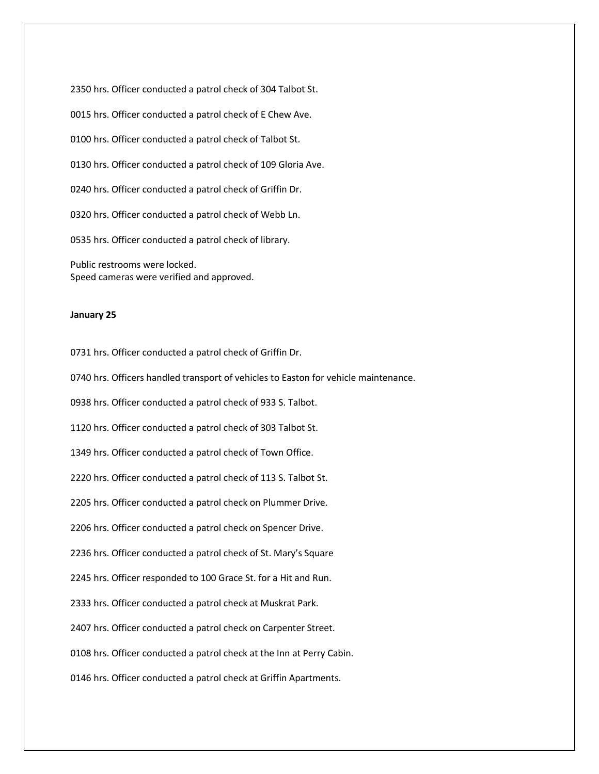2350 hrs. Officer conducted a patrol check of 304 Talbot St. 0015 hrs. Officer conducted a patrol check of E Chew Ave. 0100 hrs. Officer conducted a patrol check of Talbot St. 0130 hrs. Officer conducted a patrol check of 109 Gloria Ave. 0240 hrs. Officer conducted a patrol check of Griffin Dr. 0320 hrs. Officer conducted a patrol check of Webb Ln. 0535 hrs. Officer conducted a patrol check of library. Public restrooms were locked. Speed cameras were verified and approved.

#### **January 25**

0731 hrs. Officer conducted a patrol check of Griffin Dr.

0740 hrs. Officers handled transport of vehicles to Easton for vehicle maintenance.

0938 hrs. Officer conducted a patrol check of 933 S. Talbot.

1120 hrs. Officer conducted a patrol check of 303 Talbot St.

1349 hrs. Officer conducted a patrol check of Town Office.

2220 hrs. Officer conducted a patrol check of 113 S. Talbot St.

2205 hrs. Officer conducted a patrol check on Plummer Drive.

2206 hrs. Officer conducted a patrol check on Spencer Drive.

2236 hrs. Officer conducted a patrol check of St. Mary's Square

2245 hrs. Officer responded to 100 Grace St. for a Hit and Run.

2333 hrs. Officer conducted a patrol check at Muskrat Park.

2407 hrs. Officer conducted a patrol check on Carpenter Street.

0108 hrs. Officer conducted a patrol check at the Inn at Perry Cabin.

0146 hrs. Officer conducted a patrol check at Griffin Apartments.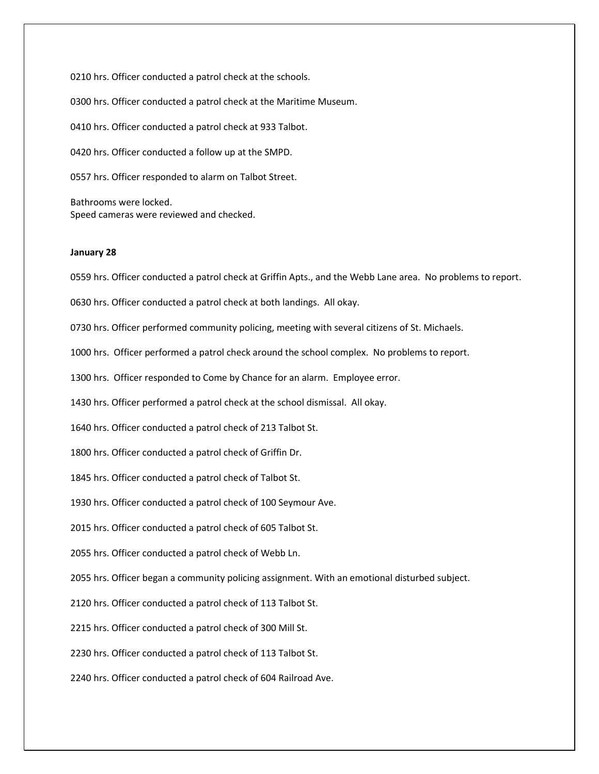0210 hrs. Officer conducted a patrol check at the schools. 0300 hrs. Officer conducted a patrol check at the Maritime Museum. 0410 hrs. Officer conducted a patrol check at 933 Talbot. 0420 hrs. Officer conducted a follow up at the SMPD. 0557 hrs. Officer responded to alarm on Talbot Street. Bathrooms were locked.

Speed cameras were reviewed and checked.

# **January 28**

0559 hrs. Officer conducted a patrol check at Griffin Apts., and the Webb Lane area. No problems to report.

0630 hrs. Officer conducted a patrol check at both landings. All okay.

0730 hrs. Officer performed community policing, meeting with several citizens of St. Michaels.

1000 hrs. Officer performed a patrol check around the school complex. No problems to report.

1300 hrs. Officer responded to Come by Chance for an alarm. Employee error.

1430 hrs. Officer performed a patrol check at the school dismissal. All okay.

1640 hrs. Officer conducted a patrol check of 213 Talbot St.

1800 hrs. Officer conducted a patrol check of Griffin Dr.

1845 hrs. Officer conducted a patrol check of Talbot St.

1930 hrs. Officer conducted a patrol check of 100 Seymour Ave.

2015 hrs. Officer conducted a patrol check of 605 Talbot St.

2055 hrs. Officer conducted a patrol check of Webb Ln.

2055 hrs. Officer began a community policing assignment. With an emotional disturbed subject.

2120 hrs. Officer conducted a patrol check of 113 Talbot St.

2215 hrs. Officer conducted a patrol check of 300 Mill St.

2230 hrs. Officer conducted a patrol check of 113 Talbot St.

2240 hrs. Officer conducted a patrol check of 604 Railroad Ave.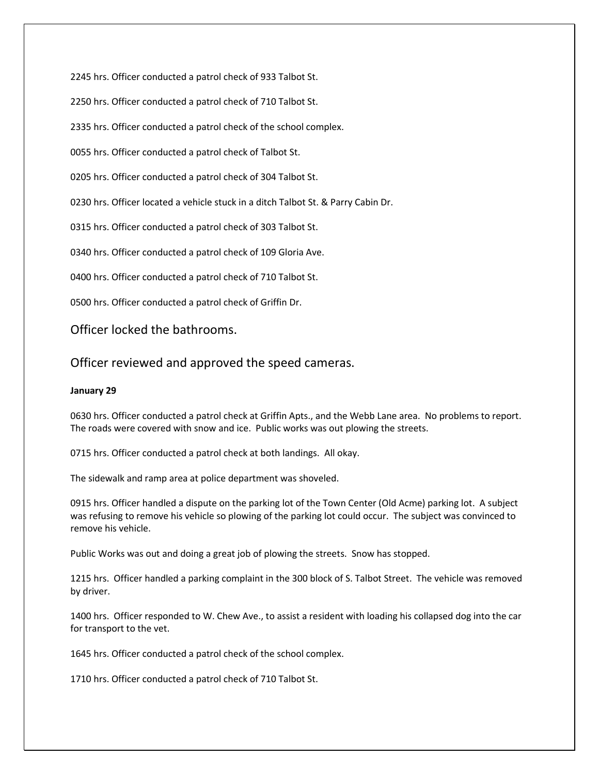2245 hrs. Officer conducted a patrol check of 933 Talbot St.

2250 hrs. Officer conducted a patrol check of 710 Talbot St.

2335 hrs. Officer conducted a patrol check of the school complex.

0055 hrs. Officer conducted a patrol check of Talbot St.

0205 hrs. Officer conducted a patrol check of 304 Talbot St.

0230 hrs. Officer located a vehicle stuck in a ditch Talbot St. & Parry Cabin Dr.

0315 hrs. Officer conducted a patrol check of 303 Talbot St.

0340 hrs. Officer conducted a patrol check of 109 Gloria Ave.

0400 hrs. Officer conducted a patrol check of 710 Talbot St.

0500 hrs. Officer conducted a patrol check of Griffin Dr.

Officer locked the bathrooms.

Officer reviewed and approved the speed cameras.

# **January 29**

0630 hrs. Officer conducted a patrol check at Griffin Apts., and the Webb Lane area. No problems to report. The roads were covered with snow and ice. Public works was out plowing the streets.

0715 hrs. Officer conducted a patrol check at both landings. All okay.

The sidewalk and ramp area at police department was shoveled.

0915 hrs. Officer handled a dispute on the parking lot of the Town Center (Old Acme) parking lot. A subject was refusing to remove his vehicle so plowing of the parking lot could occur. The subject was convinced to remove his vehicle.

Public Works was out and doing a great job of plowing the streets. Snow has stopped.

1215 hrs. Officer handled a parking complaint in the 300 block of S. Talbot Street. The vehicle was removed by driver.

1400 hrs. Officer responded to W. Chew Ave., to assist a resident with loading his collapsed dog into the car for transport to the vet.

1645 hrs. Officer conducted a patrol check of the school complex.

1710 hrs. Officer conducted a patrol check of 710 Talbot St.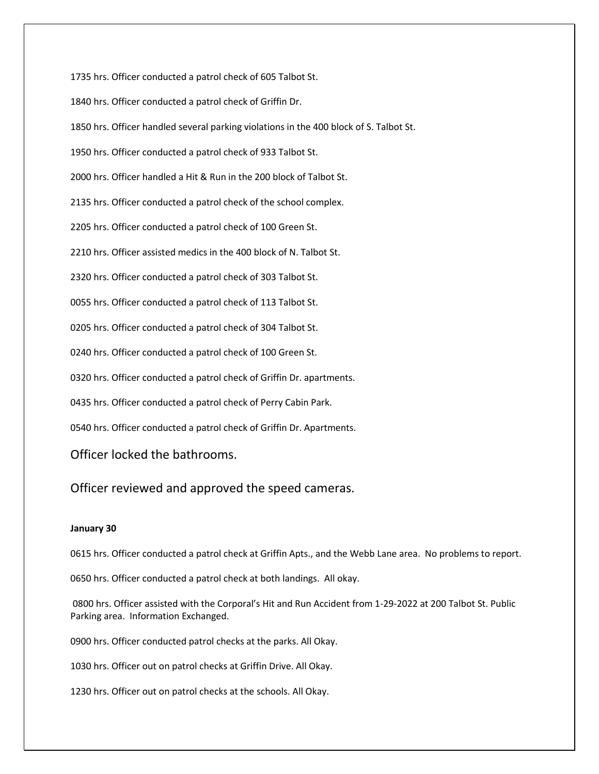1735 hrs. Officer conducted a patrol check of 605 Talbot St.

1840 hrs. Officer conducted a patrol check of Griffin Dr.

1850 hrs. Officer handled several parking violations in the 400 block of S. Talbot St.

1950 hrs. Officer conducted a patrol check of 933 Talbot St.

2000 hrs. Officer handled a Hit & Run in the 200 block of Talbot St.

2135 hrs. Officer conducted a patrol check of the school complex.

2205 hrs. Officer conducted a patrol check of 100 Green St.

2210 hrs. Officer assisted medics in the 400 block of N. Talbot St.

2320 hrs. Officer conducted a patrol check of 303 Talbot St.

0055 hrs. Officer conducted a patrol check of 113 Talbot St.

0205 hrs. Officer conducted a patrol check of 304 Talbot St.

0240 hrs. Officer conducted a patrol check of 100 Green St.

0320 hrs. Officer conducted a patrol check of Griffin Dr. apartments.

0435 hrs. Officer conducted a patrol check of Perry Cabin Park.

0540 hrs. Officer conducted a patrol check of Griffin Dr. Apartments.

Officer locked the bathrooms.

Officer reviewed and approved the speed cameras.

# **January 30**

0615 hrs. Officer conducted a patrol check at Griffin Apts., and the Webb Lane area. No problems to report.

0650 hrs. Officer conducted a patrol check at both landings. All okay.

0800 hrs. Officer assisted with the Corporal's Hit and Run Accident from 1-29-2022 at 200 Talbot St. Public Parking area. Information Exchanged.

0900 hrs. Officer conducted patrol checks at the parks. All Okay.

1030 hrs. Officer out on patrol checks at Griffin Drive. All Okay.

1230 hrs. Officer out on patrol checks at the schools. All Okay.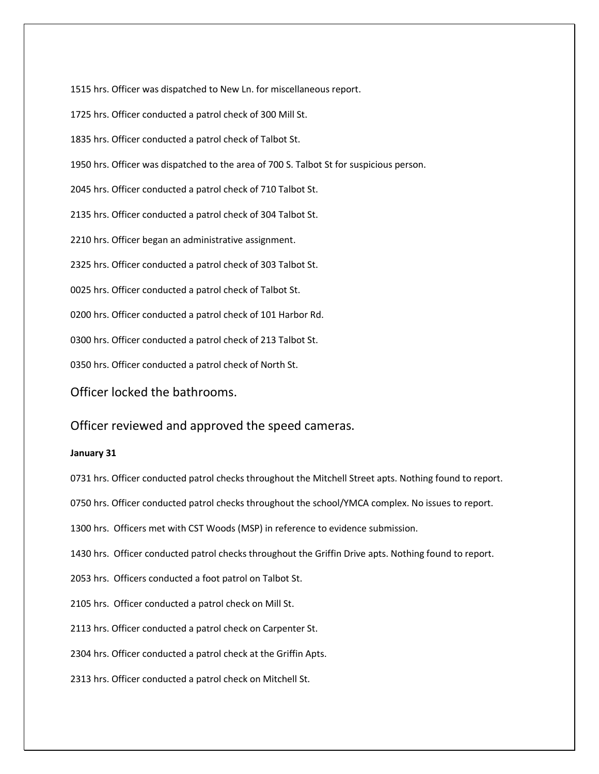1515 hrs. Officer was dispatched to New Ln. for miscellaneous report.

1725 hrs. Officer conducted a patrol check of 300 Mill St.

1835 hrs. Officer conducted a patrol check of Talbot St.

1950 hrs. Officer was dispatched to the area of 700 S. Talbot St for suspicious person.

2045 hrs. Officer conducted a patrol check of 710 Talbot St.

2135 hrs. Officer conducted a patrol check of 304 Talbot St.

2210 hrs. Officer began an administrative assignment.

2325 hrs. Officer conducted a patrol check of 303 Talbot St.

0025 hrs. Officer conducted a patrol check of Talbot St.

0200 hrs. Officer conducted a patrol check of 101 Harbor Rd.

0300 hrs. Officer conducted a patrol check of 213 Talbot St.

0350 hrs. Officer conducted a patrol check of North St.

Officer locked the bathrooms.

Officer reviewed and approved the speed cameras.

### **January 31**

0731 hrs. Officer conducted patrol checks throughout the Mitchell Street apts. Nothing found to report.

0750 hrs. Officer conducted patrol checks throughout the school/YMCA complex. No issues to report.

1300 hrs. Officers met with CST Woods (MSP) in reference to evidence submission.

1430 hrs. Officer conducted patrol checks throughout the Griffin Drive apts. Nothing found to report.

2053 hrs. Officers conducted a foot patrol on Talbot St.

2105 hrs. Officer conducted a patrol check on Mill St.

2113 hrs. Officer conducted a patrol check on Carpenter St.

2304 hrs. Officer conducted a patrol check at the Griffin Apts.

2313 hrs. Officer conducted a patrol check on Mitchell St.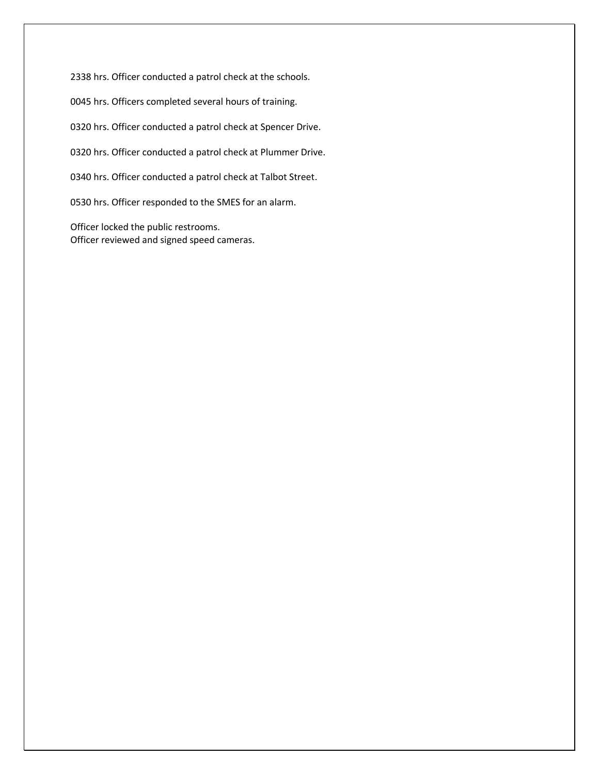2338 hrs. Officer conducted a patrol check at the schools.

0045 hrs. Officers completed several hours of training.

0320 hrs. Officer conducted a patrol check at Spencer Drive.

0320 hrs. Officer conducted a patrol check at Plummer Drive.

0340 hrs. Officer conducted a patrol check at Talbot Street.

0530 hrs. Officer responded to the SMES for an alarm.

Officer locked the public restrooms. Officer reviewed and signed speed cameras.